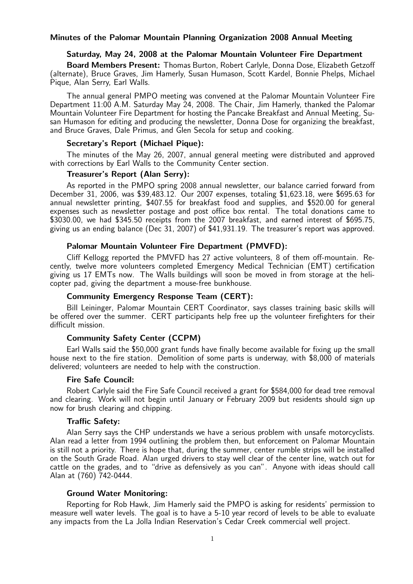## Saturday, May 24, 2008 at the Palomar Mountain Volunteer Fire Department

Board Members Present: Thomas Burton, Robert Carlyle, Donna Dose, Elizabeth Getzoff (alternate), Bruce Graves, Jim Hamerly, Susan Humason, Scott Kardel, Bonnie Phelps, Michael Pique, Alan Serry, Earl Walls.

The annual general PMPO meeting was convened at the Palomar Mountain Volunteer Fire Department 11:00 A.M. Saturday May 24, 2008. The Chair, Jim Hamerly, thanked the Palomar Mountain Volunteer Fire Department for hosting the Pancake Breakfast and Annual Meeting, Susan Humason for editing and producing the newsletter, Donna Dose for organizing the breakfast, and Bruce Graves, Dale Primus, and Glen Secola for setup and cooking.

#### Secretary's Report (Michael Pique):

The minutes of the May 26, 2007, annual general meeting were distributed and approved with corrections by Earl Walls to the Community Center section.

## Treasurer's Report (Alan Serry):

As reported in the PMPO spring 2008 annual newsletter, our balance carried forward from December 31, 2006, was \$39,483.12. Our 2007 expenses, totaling \$1,623.18, were \$695.63 for annual newsletter printing, \$407.55 for breakfast food and supplies, and \$520.00 for general expenses such as newsletter postage and post office box rental. The total donations came to \$3030.00, we had \$345.50 receipts from the 2007 breakfast, and earned interest of \$695.75, giving us an ending balance (Dec 31, 2007) of \$41,931.19. The treasurer's report was approved.

# Palomar Mountain Volunteer Fire Department (PMVFD):

Cliff Kellogg reported the PMVFD has 27 active volunteers, 8 of them off-mountain. Recently, twelve more volunteers completed Emergency Medical Technician (EMT) certification giving us 17 EMTs now. The Walls buildings will soon be moved in from storage at the helicopter pad, giving the department a mouse-free bunkhouse.

### Community Emergency Response Team (CERT):

Bill Leininger, Palomar Mountain CERT Coordinator, says classes training basic skills will be offered over the summer. CERT participants help free up the volunteer firefighters for their difficult mission.

### Community Safety Center (CCPM)

Earl Walls said the \$50,000 grant funds have finally become available for fixing up the small house next to the fire station. Demolition of some parts is underway, with \$8,000 of materials delivered; volunteers are needed to help with the construction.

## Fire Safe Council:

Robert Carlyle said the Fire Safe Council received a grant for \$584,000 for dead tree removal and clearing. Work will not begin until January or February 2009 but residents should sign up now for brush clearing and chipping.

## Traffic Safety:

Alan Serry says the CHP understands we have a serious problem with unsafe motorcyclists. Alan read a letter from 1994 outlining the problem then, but enforcement on Palomar Mountain is still not a priority. There is hope that, during the summer, center rumble strips will be installed on the South Grade Road. Alan urged drivers to stay well clear of the center line, watch out for cattle on the grades, and to "drive as defensively as you can". Anyone with ideas should call Alan at (760) 742-0444.

## Ground Water Monitoring:

Reporting for Rob Hawk, Jim Hamerly said the PMPO is asking for residents' permission to measure well water levels. The goal is to have a 5-10 year record of levels to be able to evaluate any impacts from the La Jolla Indian Reservation's Cedar Creek commercial well project.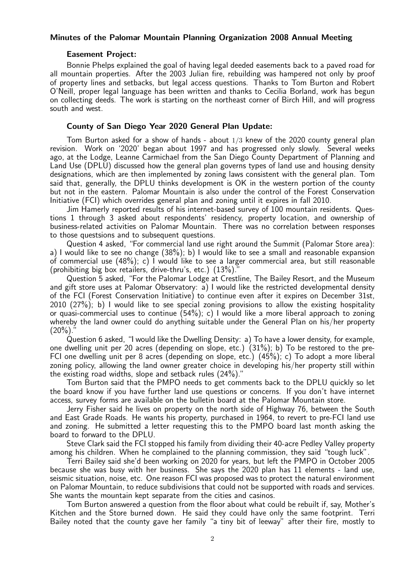#### Easement Project:

Bonnie Phelps explained the goal of having legal deeded easements back to a paved road for all mountain properties. After the 2003 Julian fire, rebuilding was hampered not only by proof of property lines and setbacks, but legal access questions. Thanks to Tom Burton and Robert O'Neill, proper legal language has been written and thanks to Cecilia Borland, work has begun on collecting deeds. The work is starting on the northeast corner of Birch Hill, and will progress south and west.

## County of San Diego Year 2020 General Plan Update:

Tom Burton asked for a show of hands - about 1/3 knew of the 2020 county general plan revision. Work on '2020' began about 1997 and has progressed only slowly. Several weeks ago, at the Lodge, Leanne Carmichael from the San Diego County Department of Planning and Land Use (DPLU) discussed how the general plan governs types of land use and housing density designations, which are then implemented by zoning laws consistent with the general plan. Tom said that, generally, the DPLU thinks development is OK in the western portion of the county but not in the eastern. Palomar Mountain is also under the control of the Forest Conservation Initiative (FCI) which overrides general plan and zoning until it expires in fall 2010.

Jim Hamerly reported results of his internet-based survey of 100 mountain residents. Questions 1 through 3 asked about respondents' residency, property location, and ownership of business-related activities on Palomar Mountain. There was no correlation between responses to those questsions and to subsequent questions.

Question 4 asked, "For commercial land use right around the Summit (Palomar Store area): a) I would like to see no change (38%); b) I would like to see a small and reasonable expansion of commercial use (48%); c) I would like to see a larger commercial area, but still reasonable (prohibiting big box retailers, drive-thru's, etc.)  $(13\%)$ ."

Question 5 asked, "For the Palomar Lodge at Crestline, The Bailey Resort, and the Museum and gift store uses at Palomar Observatory: a) I would like the restricted developmental density of the FCI (Forest Conservation Initiative) to continue even after it expires on December 31st, 2010 (27%); b) I would like to see special zoning provisions to allow the existing hospitality or quasi-commercial uses to continue (54%); c) I would like a more liberal approach to zoning whereby the land owner could do anything suitable under the General Plan on his/her property  $(20\%)$ .

Question 6 asked, "I would like the Dwelling Density: a) To have a lower density, for example, one dwelling unit per 20 acres (depending on slope, etc.) (31%); b) To be restored to the pre-FCI one dwelling unit per 8 acres (depending on slope, etc.) (45%); c) To adopt a more liberal zoning policy, allowing the land owner greater choice in developing his/her property still within the existing road widths, slope and setback rules (24%)."

Tom Burton said that the PMPO needs to get comments back to the DPLU quickly so let the board know if you have further land use questions or concerns. If you don't have internet access, survey forms are available on the bulletin board at the Palomar Mountain store.

Jerry Fisher said he lives on property on the north side of Highway 76, between the South and East Grade Roads. He wants his property, purchased in 1964, to revert to pre-FCI land use and zoning. He submitted a letter requesting this to the PMPO board last month asking the board to forward to the DPLU.

Steve Clark said the FCI stopped his family from dividing their 40-acre Pedley Valley property among his children. When he complained to the planning commission, they said "tough luck".

Terri Bailey said she'd been working on 2020 for years, but left the PMPO in October 2005 because she was busy with her business. She says the 2020 plan has 11 elements - land use, seismic situation, noise, etc. One reason FCI was proposed was to protect the natural environment on Palomar Mountain, to reduce subdivisions that could not be supported with roads and services. She wants the mountain kept separate from the cities and casinos.

Tom Burton answered a question from the floor about what could be rebuilt if, say, Mother's Kitchen and the Store burned down. He said they could have only the same footprint. Terri Bailey noted that the county gave her family "a tiny bit of leeway" after their fire, mostly to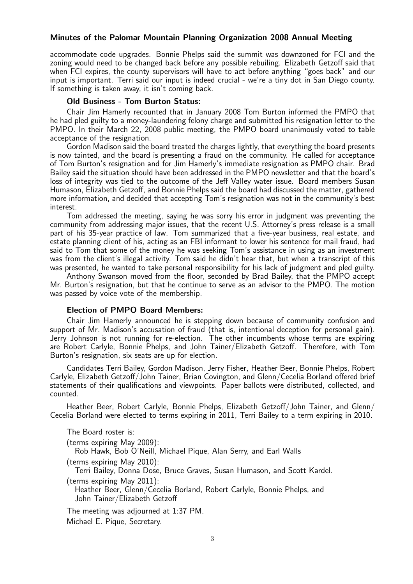accommodate code upgrades. Bonnie Phelps said the summit was downzoned for FCI and the zoning would need to be changed back before any possible rebuiling. Elizabeth Getzoff said that when FCI expires, the county supervisors will have to act before anything "goes back" and our input is important. Terri said our input is indeed crucial - we're a tiny dot in San Diego county. If something is taken away, it isn't coming back.

## Old Business - Tom Burton Status:

Chair Jim Hamerly recounted that in January 2008 Tom Burton informed the PMPO that he had pled guilty to a money-laundering felony charge and submitted his resignation letter to the PMPO. In their March 22, 2008 public meeting, the PMPO board unanimously voted to table acceptance of the resignation.

Gordon Madison said the board treated the charges lightly, that everything the board presents is now tainted, and the board is presenting a fraud on the community. He called for acceptance of Tom Burton's resignation and for Jim Hamerly's immediate resignation as PMPO chair. Brad Bailey said the situation should have been addressed in the PMPO newsletter and that the board's loss of integrity was tied to the outcome of the Jeff Valley water issue. Board members Susan Humason, Elizabeth Getzoff, and Bonnie Phelps said the board had discussed the matter, gathered more information, and decided that accepting Tom's resignation was not in the community's best interest.

Tom addressed the meeting, saying he was sorry his error in judgment was preventing the community from addressing major issues, that the recent U.S. Attorney's press release is a small part of his 35-year practice of law. Tom summarized that a five-year business, real estate, and estate planning client of his, acting as an FBI informant to lower his sentence for mail fraud, had said to Tom that some of the money he was seeking Tom's assistance in using as an investment was from the client's illegal activity. Tom said he didn't hear that, but when a transcript of this was presented, he wanted to take personal responsibility for his lack of judgment and pled guilty.

Anthony Swanson moved from the floor, seconded by Brad Bailey, that the PMPO accept Mr. Burton's resignation, but that he continue to serve as an advisor to the PMPO. The motion was passed by voice vote of the membership.

## Election of PMPO Board Members:

Chair Jim Hamerly announced he is stepping down because of community confusion and support of Mr. Madison's accusation of fraud (that is, intentional deception for personal gain). Jerry Johnson is not running for re-election. The other incumbents whose terms are expiring are Robert Carlyle, Bonnie Phelps, and John Tainer/Elizabeth Getzoff. Therefore, with Tom Burton's resignation, six seats are up for election.

Candidates Terri Bailey, Gordon Madison, Jerry Fisher, Heather Beer, Bonnie Phelps, Robert Carlyle, Elizabeth Getzoff/John Tainer, Brian Covington, and Glenn/Cecelia Borland offered brief statements of their qualifications and viewpoints. Paper ballots were distributed, collected, and counted.

Heather Beer, Robert Carlyle, Bonnie Phelps, Elizabeth Getzoff/John Tainer, and Glenn/ Cecelia Borland were elected to terms expiring in 2011, Terri Bailey to a term expiring in 2010.

The Board roster is:

(terms expiring May 2009):

Rob Hawk, Bob O'Neill, Michael Pique, Alan Serry, and Earl Walls (terms expiring May 2010):

Terri Bailey, Donna Dose, Bruce Graves, Susan Humason, and Scott Kardel. (terms expiring May 2011):

Heather Beer, Glenn/Cecelia Borland, Robert Carlyle, Bonnie Phelps, and John Tainer/Elizabeth Getzoff

The meeting was adjourned at 1:37 PM. Michael E. Pique, Secretary.